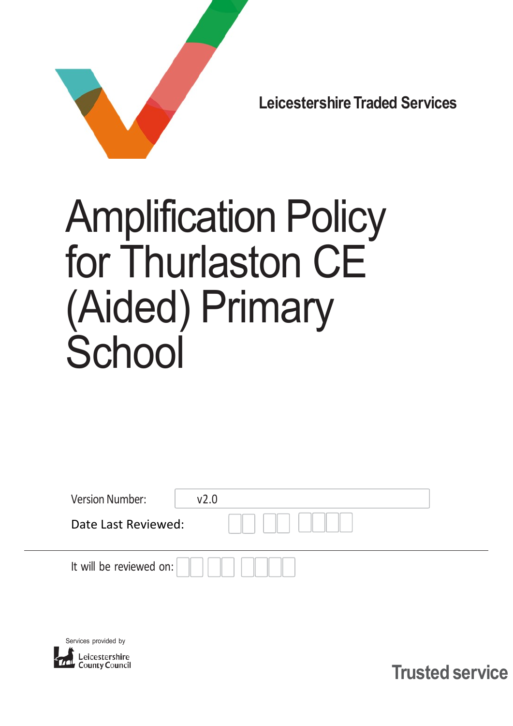

Leicestershire Traded Services

# Amplification Policy for Thurlaston CE (Aided) Primary **School**

| <b>Version Number:</b>  | V <sub>2.0</sub> |
|-------------------------|------------------|
| Date Last Reviewed:     |                  |
| It will be reviewed on: |                  |



Trusted service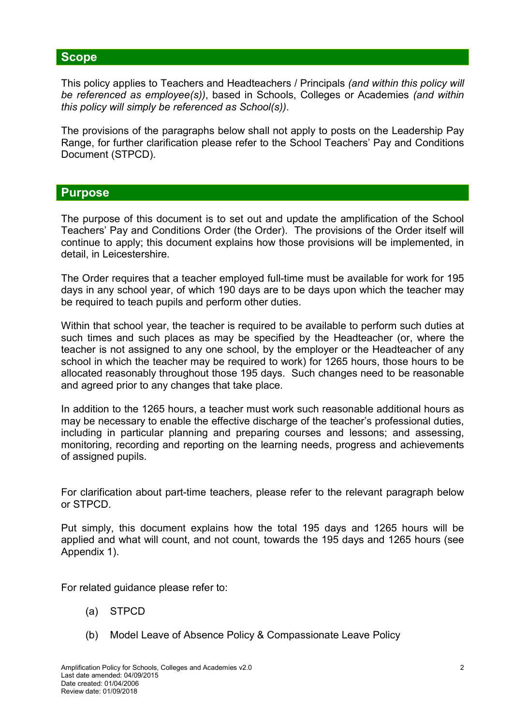#### **Scope**

This policy applies to Teachers and Headteachers / Principals (and within this policy will be referenced as employee(s)), based in Schools, Colleges or Academies (and within this policy will simply be referenced as School(s)).

The provisions of the paragraphs below shall not apply to posts on the Leadership Pay Range, for further clarification please refer to the School Teachers' Pay and Conditions Document (STPCD).

#### Purpose

The purpose of this document is to set out and update the amplification of the School Teachers' Pay and Conditions Order (the Order). The provisions of the Order itself will continue to apply; this document explains how those provisions will be implemented, in detail, in Leicestershire.

The Order requires that a teacher employed full-time must be available for work for 195 days in any school year, of which 190 days are to be days upon which the teacher may be required to teach pupils and perform other duties.

Within that school year, the teacher is required to be available to perform such duties at such times and such places as may be specified by the Headteacher (or, where the teacher is not assigned to any one school, by the employer or the Headteacher of any school in which the teacher may be required to work) for 1265 hours, those hours to be allocated reasonably throughout those 195 days. Such changes need to be reasonable and agreed prior to any changes that take place.

In addition to the 1265 hours, a teacher must work such reasonable additional hours as may be necessary to enable the effective discharge of the teacher's professional duties, including in particular planning and preparing courses and lessons; and assessing, monitoring, recording and reporting on the learning needs, progress and achievements of assigned pupils.

For clarification about part-time teachers, please refer to the relevant paragraph below or STPCD.

Put simply, this document explains how the total 195 days and 1265 hours will be applied and what will count, and not count, towards the 195 days and 1265 hours (see Appendix 1).

For related guidance please refer to:

- (a) STPCD
- (b) Model Leave of Absence Policy & Compassionate Leave Policy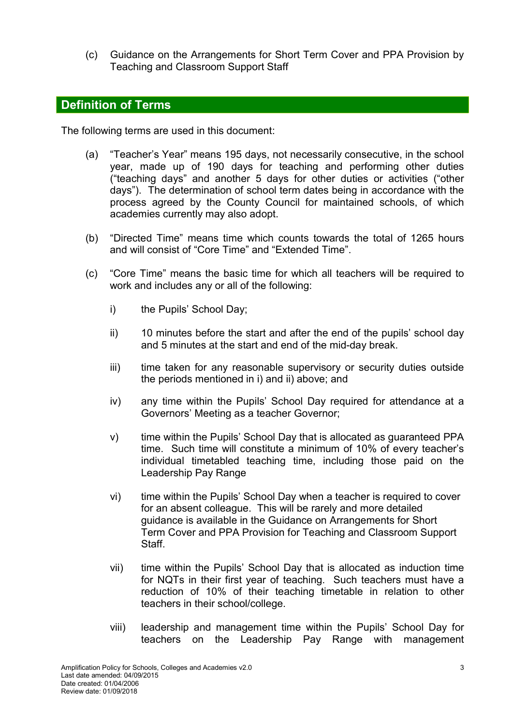(c) Guidance on the Arrangements for Short Term Cover and PPA Provision by Teaching and Classroom Support Staff

#### Definition of Terms

The following terms are used in this document:

- (a) "Teacher's Year" means 195 days, not necessarily consecutive, in the school year, made up of 190 days for teaching and performing other duties ("teaching days" and another 5 days for other duties or activities ("other days"). The determination of school term dates being in accordance with the process agreed by the County Council for maintained schools, of which academies currently may also adopt.
- (b) "Directed Time" means time which counts towards the total of 1265 hours and will consist of "Core Time" and "Extended Time".
- (c) "Core Time" means the basic time for which all teachers will be required to work and includes any or all of the following:
	- i) the Pupils' School Day;
	- ii) 10 minutes before the start and after the end of the pupils' school day and 5 minutes at the start and end of the mid-day break.
	- iii) time taken for any reasonable supervisory or security duties outside the periods mentioned in i) and ii) above; and
	- iv) any time within the Pupils' School Day required for attendance at a Governors' Meeting as a teacher Governor;
	- v) time within the Pupils' School Day that is allocated as guaranteed PPA time. Such time will constitute a minimum of 10% of every teacher's individual timetabled teaching time, including those paid on the Leadership Pay Range
	- vi) time within the Pupils' School Day when a teacher is required to cover for an absent colleague. This will be rarely and more detailed guidance is available in the Guidance on Arrangements for Short Term Cover and PPA Provision for Teaching and Classroom Support **Staff**
	- vii) time within the Pupils' School Day that is allocated as induction time for NQTs in their first year of teaching. Such teachers must have a reduction of 10% of their teaching timetable in relation to other teachers in their school/college.
	- viii) leadership and management time within the Pupils' School Day for teachers on the Leadership Pay Range with management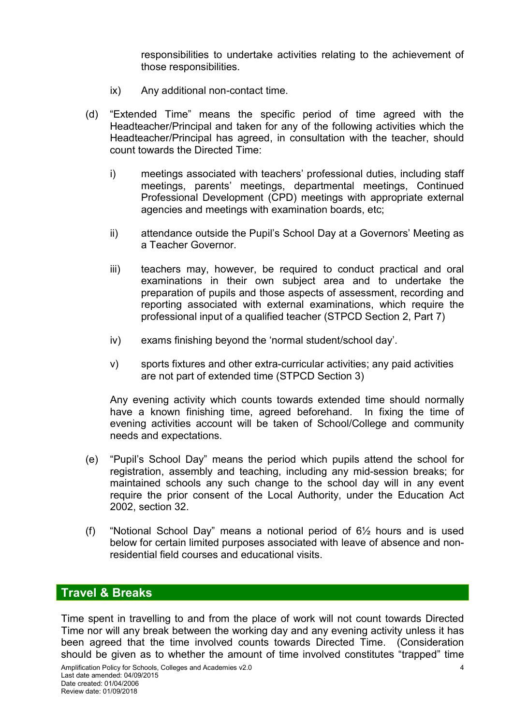responsibilities to undertake activities relating to the achievement of those responsibilities.

- ix) Any additional non-contact time.
- (d) "Extended Time" means the specific period of time agreed with the Headteacher/Principal and taken for any of the following activities which the Headteacher/Principal has agreed, in consultation with the teacher, should count towards the Directed Time:
	- i) meetings associated with teachers' professional duties, including staff meetings, parents' meetings, departmental meetings, Continued Professional Development (CPD) meetings with appropriate external agencies and meetings with examination boards, etc;
	- ii) attendance outside the Pupil's School Day at a Governors' Meeting as a Teacher Governor.
	- iii) teachers may, however, be required to conduct practical and oral examinations in their own subject area and to undertake the preparation of pupils and those aspects of assessment, recording and reporting associated with external examinations, which require the professional input of a qualified teacher (STPCD Section 2, Part 7)
	- iv) exams finishing beyond the 'normal student/school day'.
	- v) sports fixtures and other extra-curricular activities; any paid activities are not part of extended time (STPCD Section 3)

Any evening activity which counts towards extended time should normally have a known finishing time, agreed beforehand. In fixing the time of evening activities account will be taken of School/College and community needs and expectations.

- (e) "Pupil's School Day" means the period which pupils attend the school for registration, assembly and teaching, including any mid-session breaks; for maintained schools any such change to the school day will in any event require the prior consent of the Local Authority, under the Education Act 2002, section 32.
- (f) "Notional School Day" means a notional period of 6½ hours and is used below for certain limited purposes associated with leave of absence and nonresidential field courses and educational visits.

#### Travel & Breaks

Time spent in travelling to and from the place of work will not count towards Directed Time nor will any break between the working day and any evening activity unless it has been agreed that the time involved counts towards Directed Time. (Consideration should be given as to whether the amount of time involved constitutes "trapped" time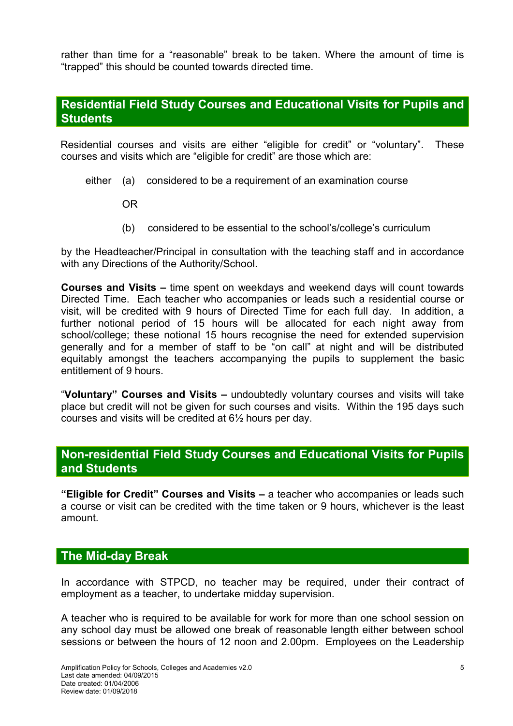rather than time for a "reasonable" break to be taken. Where the amount of time is "trapped" this should be counted towards directed time.

#### Residential Field Study Courses and Educational Visits for Pupils and **Students**

Residential courses and visits are either "eligible for credit" or "voluntary". These courses and visits which are "eligible for credit" are those which are:

either (a) considered to be a requirement of an examination course

OR

(b) considered to be essential to the school's/college's curriculum

by the Headteacher/Principal in consultation with the teaching staff and in accordance with any Directions of the Authority/School.

Courses and Visits – time spent on weekdays and weekend days will count towards Directed Time. Each teacher who accompanies or leads such a residential course or visit, will be credited with 9 hours of Directed Time for each full day. In addition, a further notional period of 15 hours will be allocated for each night away from school/college; these notional 15 hours recognise the need for extended supervision generally and for a member of staff to be "on call" at night and will be distributed equitably amongst the teachers accompanying the pupils to supplement the basic entitlement of 9 hours.

"Voluntary" Courses and Visits – undoubtedly voluntary courses and visits will take place but credit will not be given for such courses and visits. Within the 195 days such courses and visits will be credited at 6½ hours per day.

#### Non-residential Field Study Courses and Educational Visits for Pupils and Students

"Eligible for Credit" Courses and Visits – a teacher who accompanies or leads such a course or visit can be credited with the time taken or 9 hours, whichever is the least amount.

#### The Mid-day Break

In accordance with STPCD, no teacher may be required, under their contract of employment as a teacher, to undertake midday supervision.

A teacher who is required to be available for work for more than one school session on any school day must be allowed one break of reasonable length either between school sessions or between the hours of 12 noon and 2.00pm. Employees on the Leadership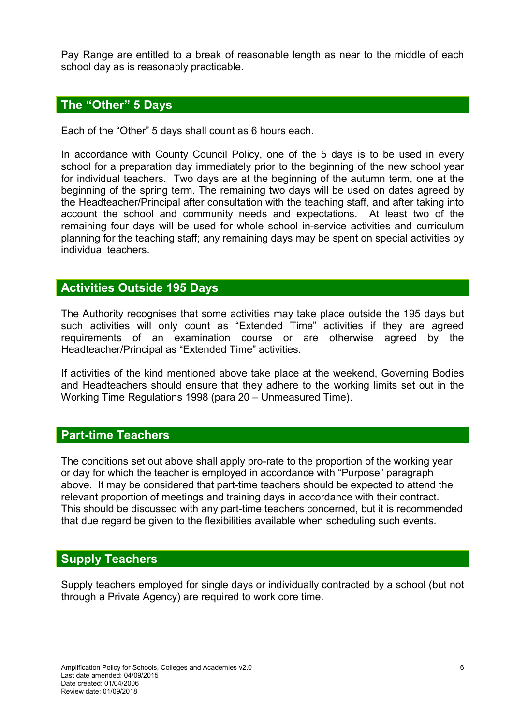Pay Range are entitled to a break of reasonable length as near to the middle of each school day as is reasonably practicable.

#### The "Other" 5 Days

Each of the "Other" 5 days shall count as 6 hours each.

In accordance with County Council Policy, one of the 5 days is to be used in every school for a preparation day immediately prior to the beginning of the new school year for individual teachers. Two days are at the beginning of the autumn term, one at the beginning of the spring term. The remaining two days will be used on dates agreed by the Headteacher/Principal after consultation with the teaching staff, and after taking into account the school and community needs and expectations. At least two of the remaining four days will be used for whole school in-service activities and curriculum planning for the teaching staff; any remaining days may be spent on special activities by individual teachers.

#### Activities Outside 195 Days

The Authority recognises that some activities may take place outside the 195 days but such activities will only count as "Extended Time" activities if they are agreed requirements of an examination course or are otherwise agreed by the Headteacher/Principal as "Extended Time" activities.

If activities of the kind mentioned above take place at the weekend, Governing Bodies and Headteachers should ensure that they adhere to the working limits set out in the Working Time Regulations 1998 (para 20 – Unmeasured Time).

#### Part-time Teachers

The conditions set out above shall apply pro-rate to the proportion of the working year or day for which the teacher is employed in accordance with "Purpose" paragraph above. It may be considered that part-time teachers should be expected to attend the relevant proportion of meetings and training days in accordance with their contract. This should be discussed with any part-time teachers concerned, but it is recommended that due regard be given to the flexibilities available when scheduling such events.

#### Supply Teachers

Supply teachers employed for single days or individually contracted by a school (but not through a Private Agency) are required to work core time.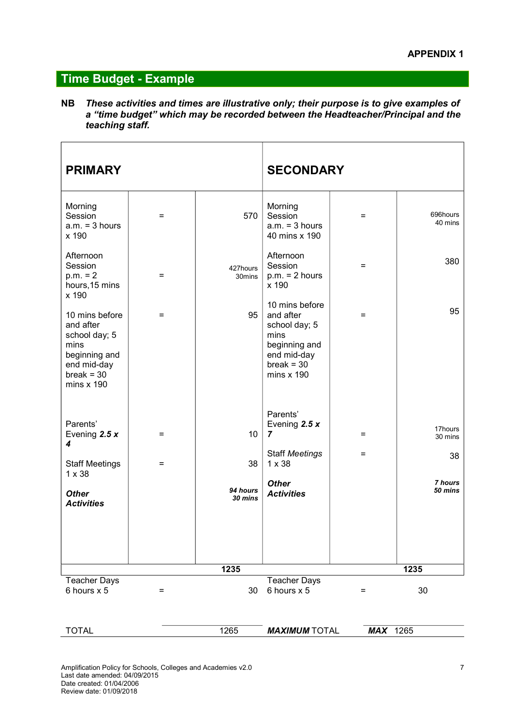### Time Budget - Example

NB These activities and times are illustrative only; their purpose is to give examples of a "time budget" which may be recorded between the Headteacher/Principal and the teaching staff.

| <b>PRIMARY</b>                                                                                                            |     |                     | <b>SECONDARY</b>                                                                                                     |          |                          |
|---------------------------------------------------------------------------------------------------------------------------|-----|---------------------|----------------------------------------------------------------------------------------------------------------------|----------|--------------------------|
| Morning<br>Session<br>$a.m. = 3 hours$<br>x 190                                                                           | $=$ | 570                 | Morning<br>Session<br>$a.m. = 3 hours$<br>40 mins x 190                                                              | Ξ        | 696hours<br>40 mins      |
| Afternoon<br>Session<br>$p.m. = 2$<br>hours, 15 mins<br>x 190                                                             | $=$ | 427hours<br>30mins  | Afternoon<br>Session<br>$p.m. = 2 hours$<br>x 190                                                                    | $=$      | 380                      |
| 10 mins before<br>and after<br>school day; 5<br>mins<br>beginning and<br>end mid-day<br>$break = 30$<br>$mins \times 190$ | $=$ | 95                  | 10 mins before<br>and after<br>school day; 5<br>mins<br>beginning and<br>end mid-day<br>$break = 30$<br>mins $x$ 190 | $=$      | 95                       |
| Parents'<br>Evening 2.5 $x$<br>4                                                                                          | $=$ | 10                  | Parents'<br>Evening 2.5 $x$<br>7<br><b>Staff Meetings</b>                                                            | Ξ<br>$=$ | 17hours<br>30 mins<br>38 |
| <b>Staff Meetings</b><br>$1 \times 38$                                                                                    | $=$ | 38                  | $1 \times 38$                                                                                                        |          |                          |
| <b>Other</b><br><b>Activities</b>                                                                                         |     | 94 hours<br>30 mins | <b>Other</b><br><b>Activities</b>                                                                                    |          | 7 hours<br>50 mins       |
|                                                                                                                           |     | 1235                |                                                                                                                      |          | 1235                     |
| <b>Teacher Days</b><br>6 hours x 5                                                                                        | $=$ | 30                  | <b>Teacher Days</b><br>6 hours x 5                                                                                   | $=$      | 30                       |

| ТОТА<br>∼ | ORE<br>ا ∠∪ت | <b>MAXIMUM TOTAI</b><br>'IA∟ | ORE<br>ΜA<br>- 10<br>∠∪<br>۰, |  |
|-----------|--------------|------------------------------|-------------------------------|--|
|           |              |                              |                               |  |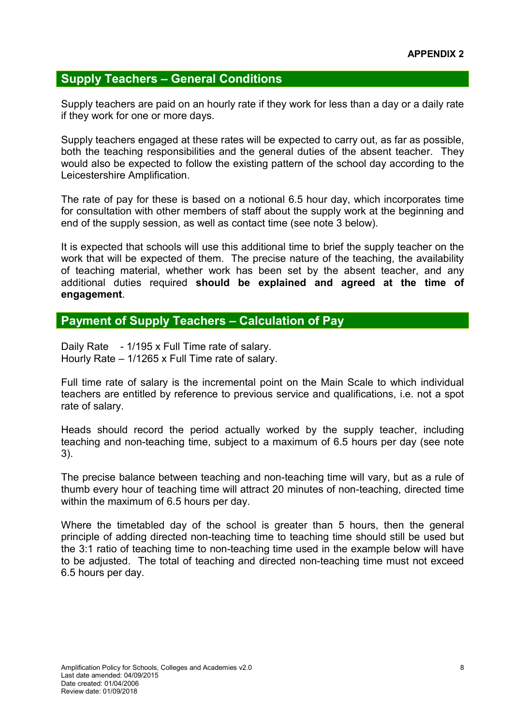#### Supply Teachers – General Conditions

Supply teachers are paid on an hourly rate if they work for less than a day or a daily rate if they work for one or more days.

Supply teachers engaged at these rates will be expected to carry out, as far as possible, both the teaching responsibilities and the general duties of the absent teacher. They would also be expected to follow the existing pattern of the school day according to the Leicestershire Amplification.

The rate of pay for these is based on a notional 6.5 hour day, which incorporates time for consultation with other members of staff about the supply work at the beginning and end of the supply session, as well as contact time (see note 3 below).

It is expected that schools will use this additional time to brief the supply teacher on the work that will be expected of them. The precise nature of the teaching, the availability of teaching material, whether work has been set by the absent teacher, and any additional duties required should be explained and agreed at the time of engagement.

#### Payment of Supply Teachers – Calculation of Pay

Daily Rate - 1/195 x Full Time rate of salary. Hourly Rate – 1/1265 x Full Time rate of salary.

Full time rate of salary is the incremental point on the Main Scale to which individual teachers are entitled by reference to previous service and qualifications, i.e. not a spot rate of salary.

Heads should record the period actually worked by the supply teacher, including teaching and non-teaching time, subject to a maximum of 6.5 hours per day (see note 3).

The precise balance between teaching and non-teaching time will vary, but as a rule of thumb every hour of teaching time will attract 20 minutes of non-teaching, directed time within the maximum of 6.5 hours per day.

Where the timetabled day of the school is greater than 5 hours, then the general principle of adding directed non-teaching time to teaching time should still be used but the 3:1 ratio of teaching time to non-teaching time used in the example below will have to be adjusted. The total of teaching and directed non-teaching time must not exceed 6.5 hours per day.